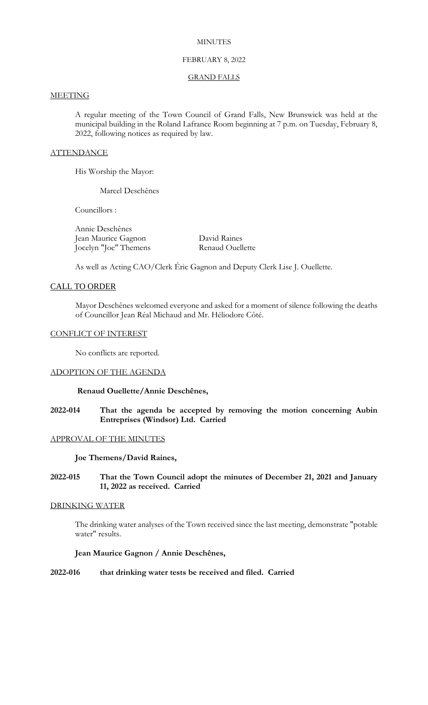### **MINUTES**

## FEBRUARY 8, 2022

#### GRAND FALLS

#### **MEETING**

A regular meeting of the Town Council of Grand Falls, New Brunswick was held at the municipal building in the Roland Lafrance Room beginning at 7 p.m. on Tuesday, February 8, 2022, following notices as required by law.

#### **ATTENDANCE**

His Worship the Mayor:

Marcel Deschênes

Councillors :

Annie Deschênes Jean Maurice Gagnon<br>
Iocelvn "Ioe" Themens Renaud Ouellette Jocelyn "Joe" Themens

As well as Acting CAO/Clerk Éric Gagnon and Deputy Clerk Lise J. Ouellette.

## CALL TO ORDER

Mayor Deschênes welcomed everyone and asked for a moment of silence following the deaths of Councillor Jean Réal Michaud and Mr. Héliodore Côté.

#### CONFLICT OF INTEREST

No conflicts are reported.

#### ADOPTION OF THE AGENDA

#### **Renaud Ouellette/Annie Deschênes,**

**2022-014 That the agenda be accepted by removing the motion concerning Aubin Entreprises (Windsor) Ltd. Carried**

# APPROVAL OF THE MINUTES

#### **Joe Themens/David Raines,**

**2022-015 That the Town Council adopt the minutes of December 21, 2021 and January 11, 2022 as received. Carried**

#### DRINKING WATER

The drinking water analyses of the Town received since the last meeting, demonstrate "potable water" results.

# **Jean Maurice Gagnon / Annie Deschênes,**

**2022-016 that drinking water tests be received and filed. Carried**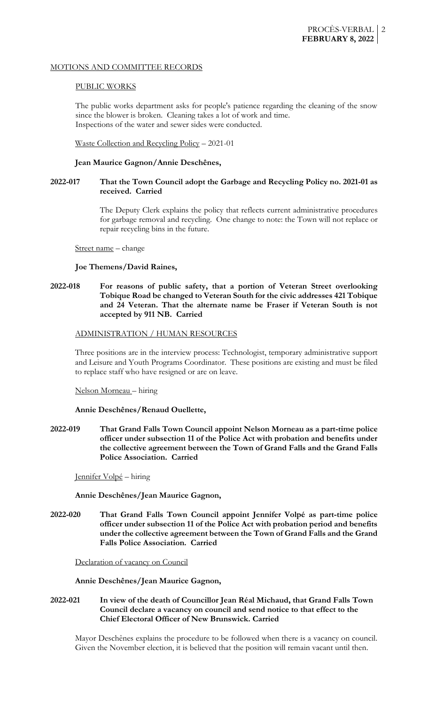## MOTIONS AND COMMITTEE RECORDS

### PUBLIC WORKS

The public works department asks for people's patience regarding the cleaning of the snow since the blower is broken. Cleaning takes a lot of work and time. Inspections of the water and sewer sides were conducted.

Waste Collection and Recycling Policy – 2021-01

## **Jean Maurice Gagnon/Annie Deschênes,**

# **2022-017 That the Town Council adopt the Garbage and Recycling Policy no. 2021-01 as received. Carried**

The Deputy Clerk explains the policy that reflects current administrative procedures for garbage removal and recycling. One change to note: the Town will not replace or repair recycling bins in the future.

Street name – change

### **Joe Themens/David Raines,**

# **2022-018 For reasons of public safety, that a portion of Veteran Street overlooking Tobique Road be changed to Veteran South for the civic addresses 421 Tobique and 24 Veteran. That the alternate name be Fraser if Veteran South is not accepted by 911 NB. Carried**

### ADMINISTRATION / HUMAN RESOURCES

Three positions are in the interview process: Technologist, temporary administrative support and Leisure and Youth Programs Coordinator. These positions are existing and must be filed to replace staff who have resigned or are on leave.

### Nelson Morneau – hiring

## **Annie Deschênes/Renaud Ouellette,**

**2022-019 That Grand Falls Town Council appoint Nelson Morneau as a part-time police officer under subsection 11 of the Police Act with probation and benefits under the collective agreement between the Town of Grand Falls and the Grand Falls Police Association. Carried**

Jennifer Volpé – hiring

**Annie Deschênes/Jean Maurice Gagnon,**

**2022-020 That Grand Falls Town Council appoint Jennifer Volpé as part-time police officer under subsection 11 of the Police Act with probation period and benefits under the collective agreement between the Town of Grand Falls and the Grand Falls Police Association. Carried**

Declaration of vacancy on Council

**Annie Deschênes/Jean Maurice Gagnon,**

# **2022-021 In view of the death of Councillor Jean Réal Michaud, that Grand Falls Town Council declare a vacancy on council and send notice to that effect to the Chief Electoral Officer of New Brunswick. Carried**

Mayor Deschênes explains the procedure to be followed when there is a vacancy on council. Given the November election, it is believed that the position will remain vacant until then.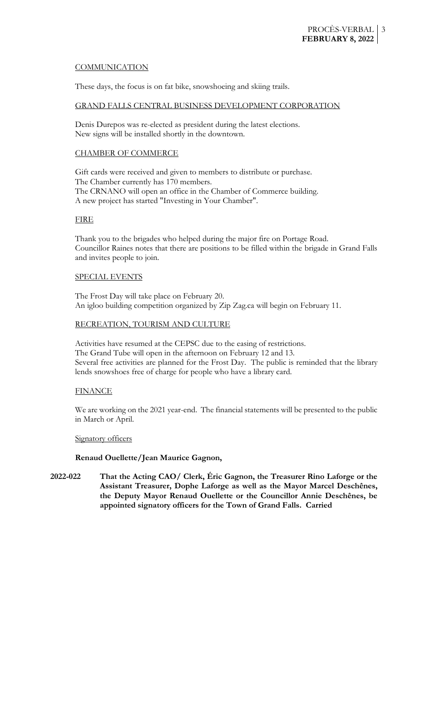# **COMMUNICATION**

These days, the focus is on fat bike, snowshoeing and skiing trails.

### GRAND FALLS CENTRAL BUSINESS DEVELOPMENT CORPORATION

Denis Durepos was re-elected as president during the latest elections. New signs will be installed shortly in the downtown.

## CHAMBER OF COMMERCE

Gift cards were received and given to members to distribute or purchase. The Chamber currently has 170 members. The CRNANO will open an office in the Chamber of Commerce building. A new project has started "Investing in Your Chamber".

# FIRE

Thank you to the brigades who helped during the major fire on Portage Road. Councillor Raines notes that there are positions to be filled within the brigade in Grand Falls and invites people to join.

# SPECIAL EVENTS

The Frost Day will take place on February 20. An igloo building competition organized by Zip Zag.ca will begin on February 11.

# RECREATION, TOURISM AND CULTURE

Activities have resumed at the CEPSC due to the easing of restrictions. The Grand Tube will open in the afternoon on February 12 and 13. Several free activities are planned for the Frost Day. The public is reminded that the library lends snowshoes free of charge for people who have a library card.

### **FINANCE**

We are working on the 2021 year-end. The financial statements will be presented to the public in March or April.

### Signatory officers

# **Renaud Ouellette/Jean Maurice Gagnon,**

**2022-022 That the Acting CAO/ Clerk, Éric Gagnon, the Treasurer Rino Laforge or the Assistant Treasurer, Dophe Laforge as well as the Mayor Marcel Deschênes, the Deputy Mayor Renaud Ouellette or the Councillor Annie Deschênes, be appointed signatory officers for the Town of Grand Falls. Carried**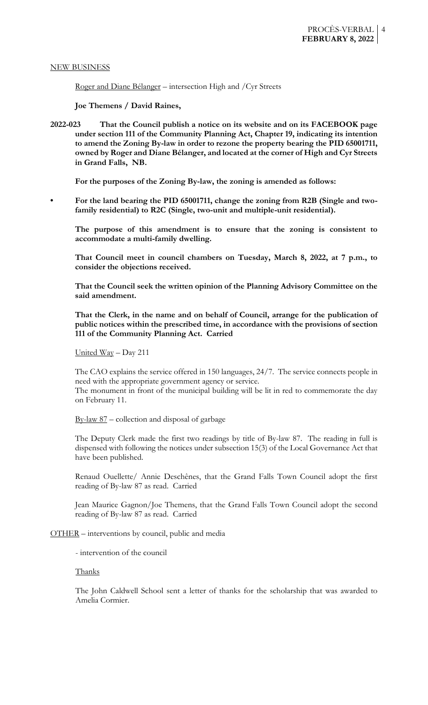#### NEW BUSINESS

Roger and Diane Bélanger – intersection High and /Cyr Streets

**Joe Themens / David Raines,**

**2022-023 That the Council publish a notice on its website and on its FACEBOOK page under section 111 of the Community Planning Act, Chapter 19, indicating its intention to amend the Zoning By-law in order to rezone the property bearing the PID 65001711, owned by Roger and Diane Bélanger, and located at the corner of High and Cyr Streets in Grand Falls, NB.**

**For the purposes of the Zoning By-law, the zoning is amended as follows:**

**• For the land bearing the PID 65001711, change the zoning from R2B (Single and twofamily residential) to R2C (Single, two-unit and multiple-unit residential).**

**The purpose of this amendment is to ensure that the zoning is consistent to accommodate a multi-family dwelling.**

**That Council meet in council chambers on Tuesday, March 8, 2022, at 7 p.m., to consider the objections received.**

**That the Council seek the written opinion of the Planning Advisory Committee on the said amendment.**

**That the Clerk, in the name and on behalf of Council, arrange for the publication of public notices within the prescribed time, in accordance with the provisions of section 111 of the Community Planning Act. Carried**

United Way – Day 211

The CAO explains the service offered in 150 languages, 24/7. The service connects people in need with the appropriate government agency or service.

The monument in front of the municipal building will be lit in red to commemorate the day on February 11.

 $By-law 87$  – collection and disposal of garbage

The Deputy Clerk made the first two readings by title of By-law 87. The reading in full is dispensed with following the notices under subsection 15(3) of the Local Governance Act that have been published.

Renaud Ouellette/ Annie Deschênes, that the Grand Falls Town Council adopt the first reading of By-law 87 as read. Carried

Jean Maurice Gagnon/Joe Themens, that the Grand Falls Town Council adopt the second reading of By-law 87 as read. Carried

OTHER – interventions by council, public and media

- intervention of the council

#### Thanks

The John Caldwell School sent a letter of thanks for the scholarship that was awarded to Amelia Cormier.